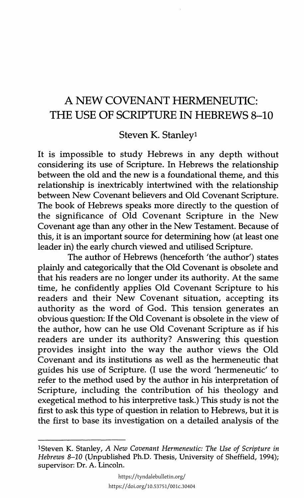## A NEW COVENANT HERMENEUTIC: THE USE OF SCRIPTURE IN HEBREWS 8-10

Steven K. Stanleyl

It is impossible to study Hebrews in any depth without considering its use of Scripture. In Hebrews the relationship between the old and the new is a foundational theme, and this relationship is inextricably intertwined with the relationship between New Covenant believers and Old Covenant Scripture. The book of Hebrews speaks more directly to the question of the significance of Old Covenant Scripture in the New Covenant age than any other in the New Testament. Because of this, it is an important source for determining how (at least one leader in) the early church viewed and utilised Scripture.

The author of Hebrews (henceforth 'the author') states plainly and categorically that the Old Covenant is obsolete and that his readers are no longer under its authority. At the same time, he confidently applies Old Covenant Scripture to his readers and their New Covenant situation, accepting its authority as the word of God. This tension generates an obvious question: If the Old Covenant is obsolete in the view of the author, how can he use Old Covenant Scripture as if his readers are under its authority? Answering this question provides insight into the way the author views the Old Covenant and its institutions as well as the hermeneutic that guides his use of Scripture. (I use the word 'hermeneutic' to refer to the method used by the author in his interpretation of Scripture, including the contribution of his theology and exegetical method to his interpretive task.) This study is not the first to ask this type of question in relation to Hebrews, but it is the first to base its investigation on a detailed analysis of the

lSteven K. Stanley, *A New Covenant Hermeneutic: The Use of Scripture in Hebrews 8-10* (Unpublished Ph.D. Thesis, University of Sheffield, 1994); supervisor: Dr. A. Lincoln.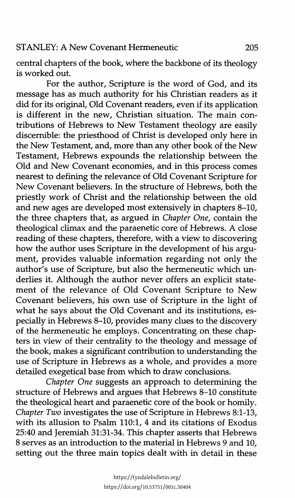central chapters of the book, where the backbone of its theology is worked out.

For the author, Scripture is the word of God, and its message has as much authority for his Christian readers as it did for its original, Old Covenant readers, even if its application is different in the new, Christian situation. The main contributions of Hebrews to New Testament theology are easily discernible: the priesthood of Christ is developed only here in the New Testament, and, more than any other book of the New Testament, Hebrews expounds the relationship between the Old and New Covenant economies, and in this process comes nearest to defining the relevance of Old Covenant Scripture for New Covenant believers. In the structure of Hebrews, both the priestly work of Christ and the relationship between the old and new ages are developed most extensively in chapters 8-10, the three chapters that, as argued in *Chapter One,* contain the theological climax and the paraenetic core of Hebrews. A close reading of these chapters, therefore, with a view to discovering how the author uses Scripture in the development of his argument, provides valuable information regarding not only the author's use of Scripture, but also the hermeneutic which underlies it. Although the author never offers an explicit statement of the relevance of Old Covenant Scripture to New Covenant believers, his own use of Scripture in the light of what he says about the Old Covenant and its institutions, especially in Hebrews 8-10, provides many clues to the discovery of the hermeneutic he employs. Concentrating on these chapters in view of their centrality to the theology and message of the book, makes a significant contribution to understanding the use of Scripture in Hebrews as a whole, and provides a more detailed exegetical base from which to draw conclusions.

*Chapter One* suggests an approach to determining the structure of Hebrews and argues that Hebrews 8-10 constitute the theological heart and paraenetic core of the book or homily. *Chapter Two* investigates the use of Scripture in Hebrews 8:1-13, with its allusion to Psalm 110:1, 4 and its citations of Exodus 25:40 and Jeremiah 31:31-34. This chapter asserts that Hebrews 8 serves as an introduction to the material in Hebrews 9 and 10, setting out the three main topics dealt with in detail in these